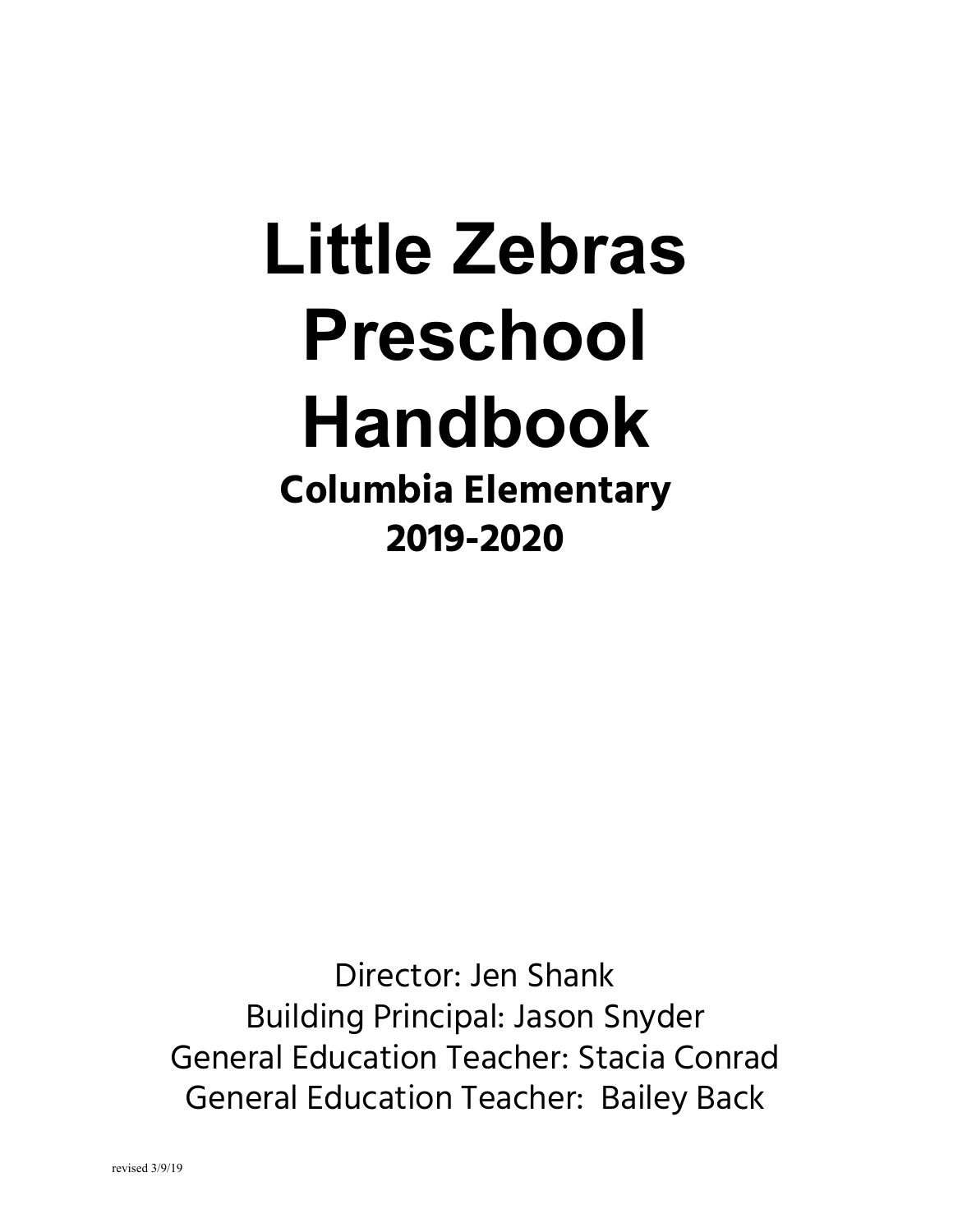# **Little Zebras Preschool Handbook Columbia Elementary 2019-2020**

Director: Jen Shank Building Principal: Jason Snyder General Education Teacher: Stacia Conrad General Education Teacher: Bailey Back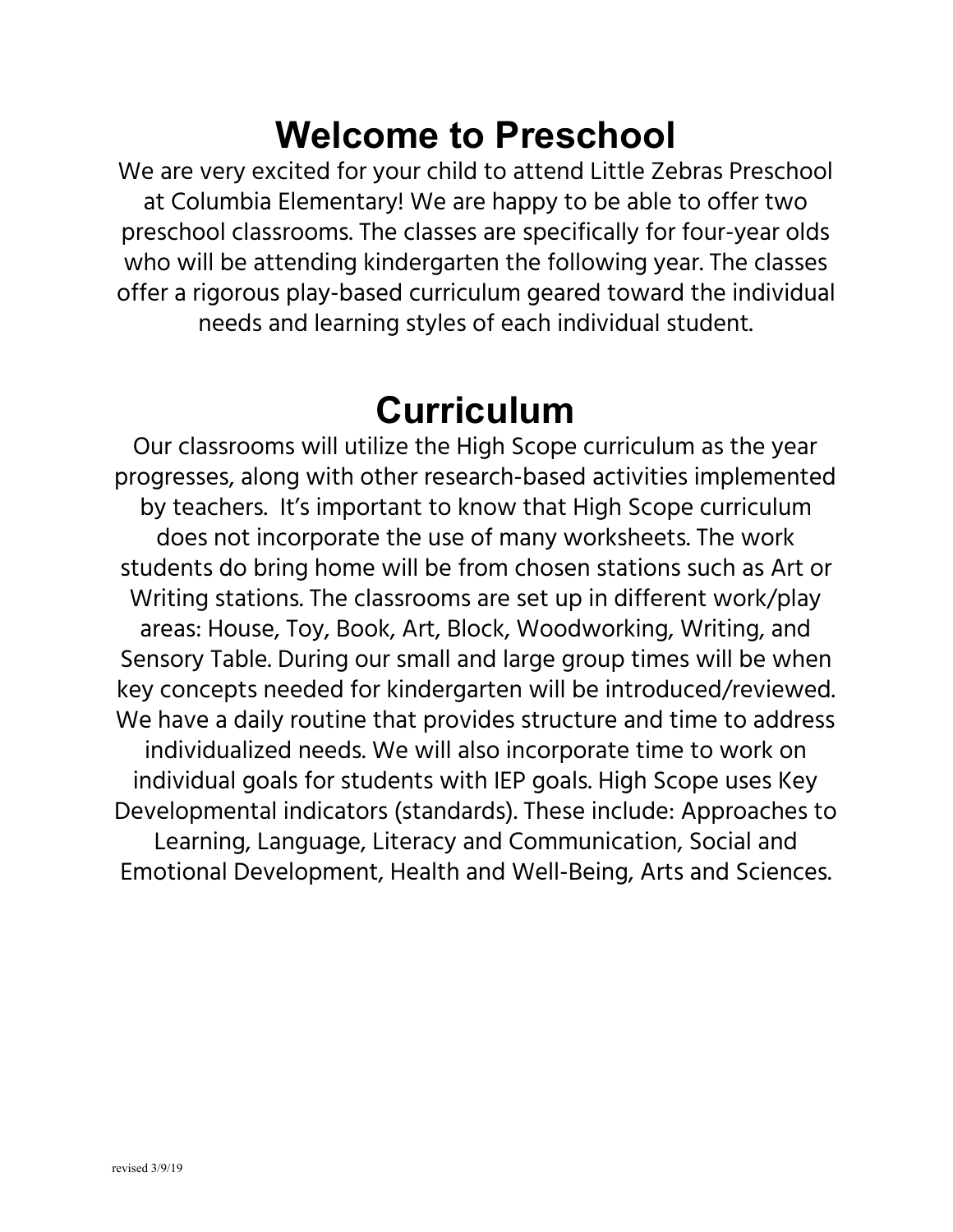#### **Welcome to Preschool**

We are very excited for your child to attend Little Zebras Preschool at Columbia Elementary! We are happy to be able to offer two preschool classrooms. The classes are specifically for four-year olds who will be attending kindergarten the following year. The classes offer a rigorous play-based curriculum geared toward the individual needs and learning styles of each individual student.

#### **Curriculum**

Our classrooms will utilize the High Scope curriculum as the year progresses, along with other research-based activities implemented by teachers. It's important to know that High Scope curriculum does not incorporate the use of many worksheets. The work students do bring home will be from chosen stations such as Art or Writing stations. The classrooms are set up in different work/play areas: House, Toy, Book, Art, Block, Woodworking, Writing, and Sensory Table. During our small and large group times will be when key concepts needed for kindergarten will be introduced/reviewed. We have a daily routine that provides structure and time to address individualized needs. We will also incorporate time to work on individual goals for students with IEP goals. High Scope uses Key Developmental indicators (standards). These include: Approaches to Learning, Language, Literacy and Communication, Social and Emotional Development, Health and Well-Being, Arts and Sciences.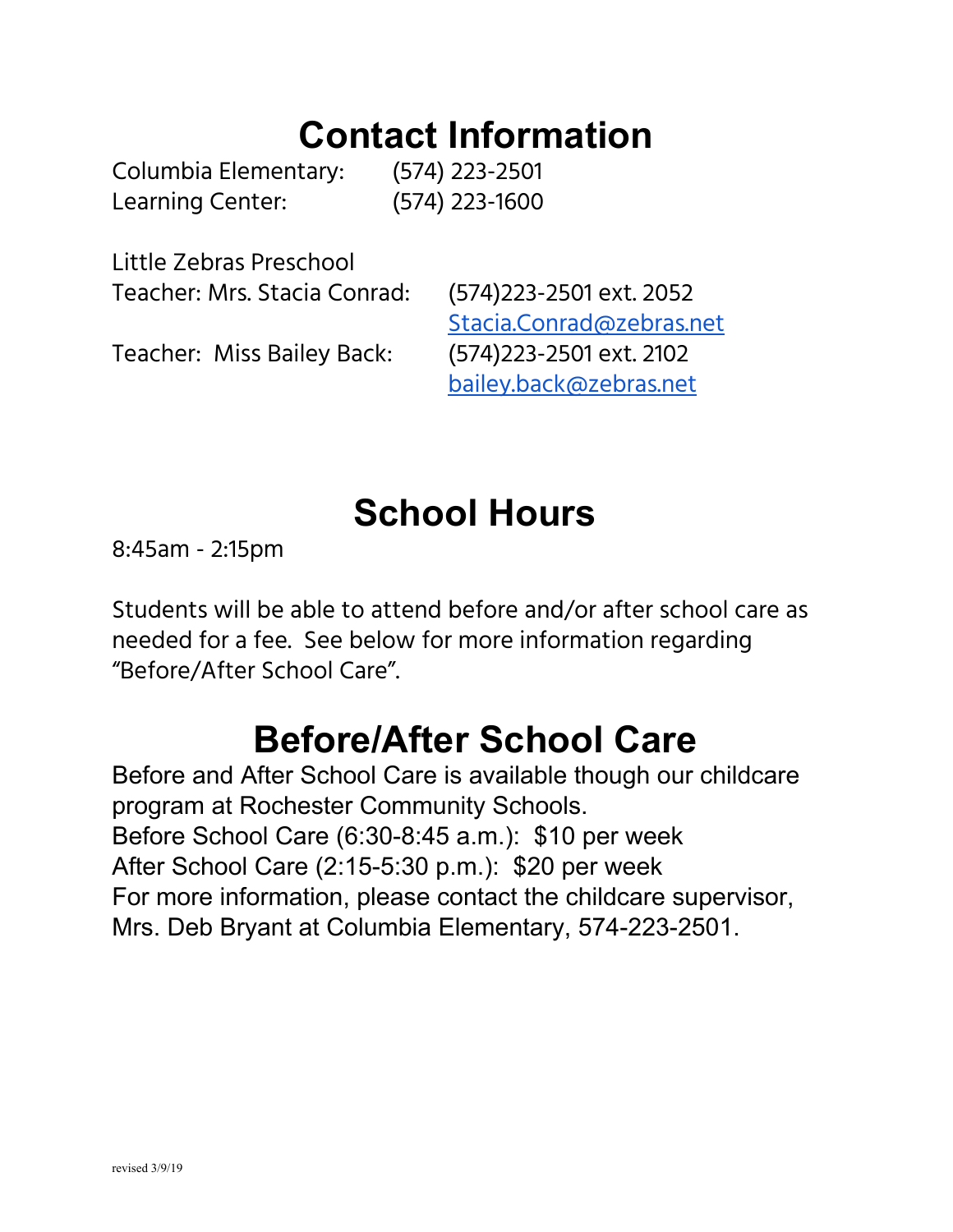#### **Contact Information**

Columbia Elementary: (574) 223-2501 Learning Center: (574) 223-1600

Little Zebras Preschool Teacher: Mrs. Stacia Conrad: (574)223-2501 ext. 2052

Teacher: Miss Bailey Back: (574)223-2501 ext. 2102

[Stacia.Conrad@zebras.net](mailto:Stacia.Conrad@zebras.net) [bailey.back@zebras.net](mailto:bailey.back@zebras.net)

# **School Hours**

8:45am - 2:15pm

Students will be able to attend before and/or after school care as needed for a fee. See below for more information regarding "Before/After School Care".

#### **Before/After School Care**

Before and After School Care is available though our childcare program at Rochester Community Schools. Before School Care (6:30-8:45 a.m.): \$10 per week After School Care (2:15-5:30 p.m.): \$20 per week For more information, please contact the childcare supervisor, Mrs. Deb Bryant at Columbia Elementary, 574-223-2501.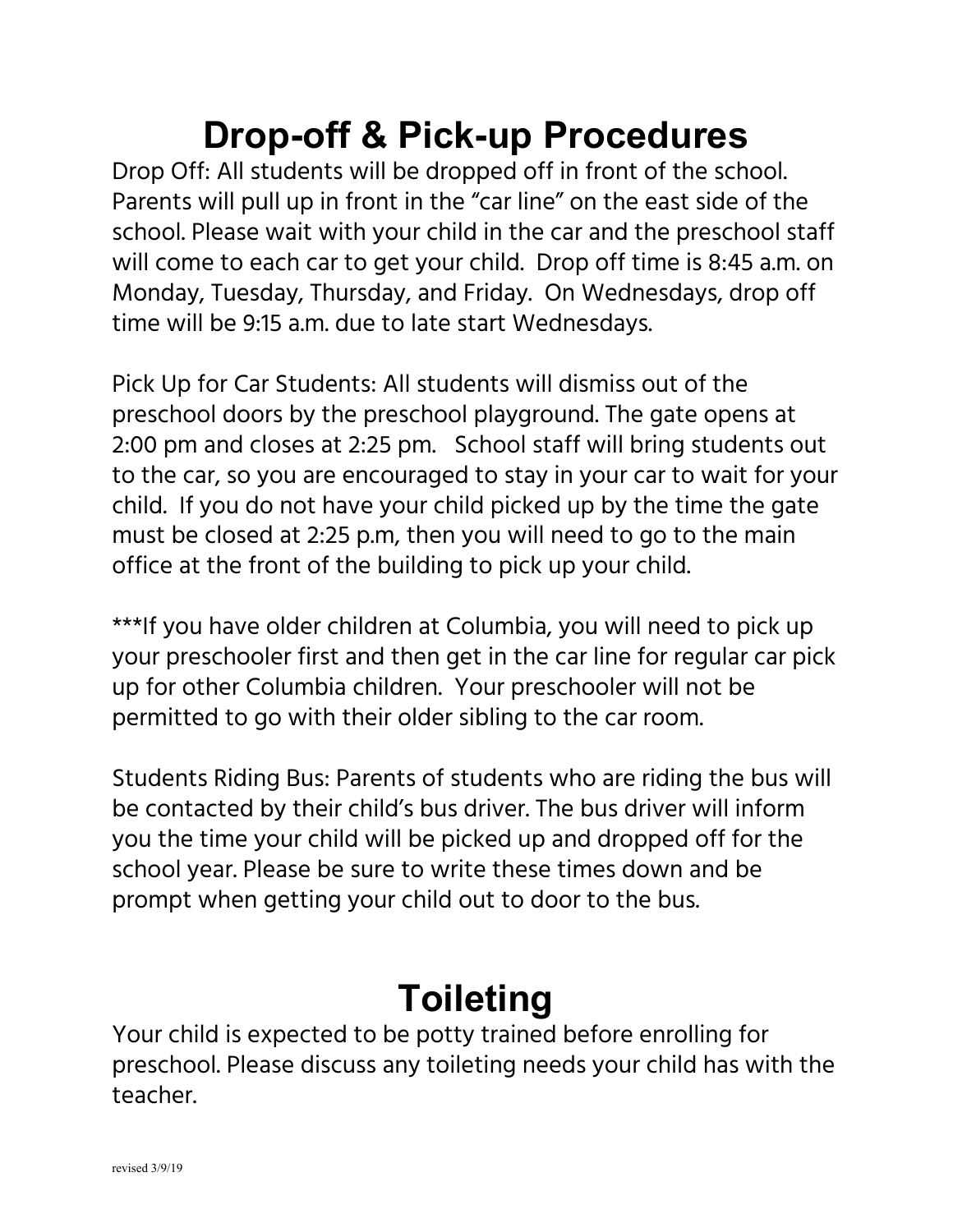# **Drop-off & Pick-up Procedures**

Drop Off: All students will be dropped off in front of the school. Parents will pull up in front in the "car line" on the east side of the school. Please wait with your child in the car and the preschool staff will come to each car to get your child. Drop off time is 8:45 a.m. on Monday, Tuesday, Thursday, and Friday. On Wednesdays, drop off time will be 9:15 a.m. due to late start Wednesdays.

Pick Up for Car Students: All students will dismiss out of the preschool doors by the preschool playground. The gate opens at 2:00 pm and closes at 2:25 pm. School staff will bring students out to the car, so you are encouraged to stay in your car to wait for your child. If you do not have your child picked up by the time the gate must be closed at 2:25 p.m, then you will need to go to the main office at the front of the building to pick up your child.

\*\*\*If you have older children at Columbia, you will need to pick up your preschooler first and then get in the car line for regular car pick up for other Columbia children. Your preschooler will not be permitted to go with their older sibling to the car room.

Students Riding Bus: Parents of students who are riding the bus will be contacted by their child's bus driver. The bus driver will inform you the time your child will be picked up and dropped off for the school year. Please be sure to write these times down and be prompt when getting your child out to door to the bus.

# **Toileting**

Your child is expected to be potty trained before enrolling for preschool. Please discuss any toileting needs your child has with the teacher.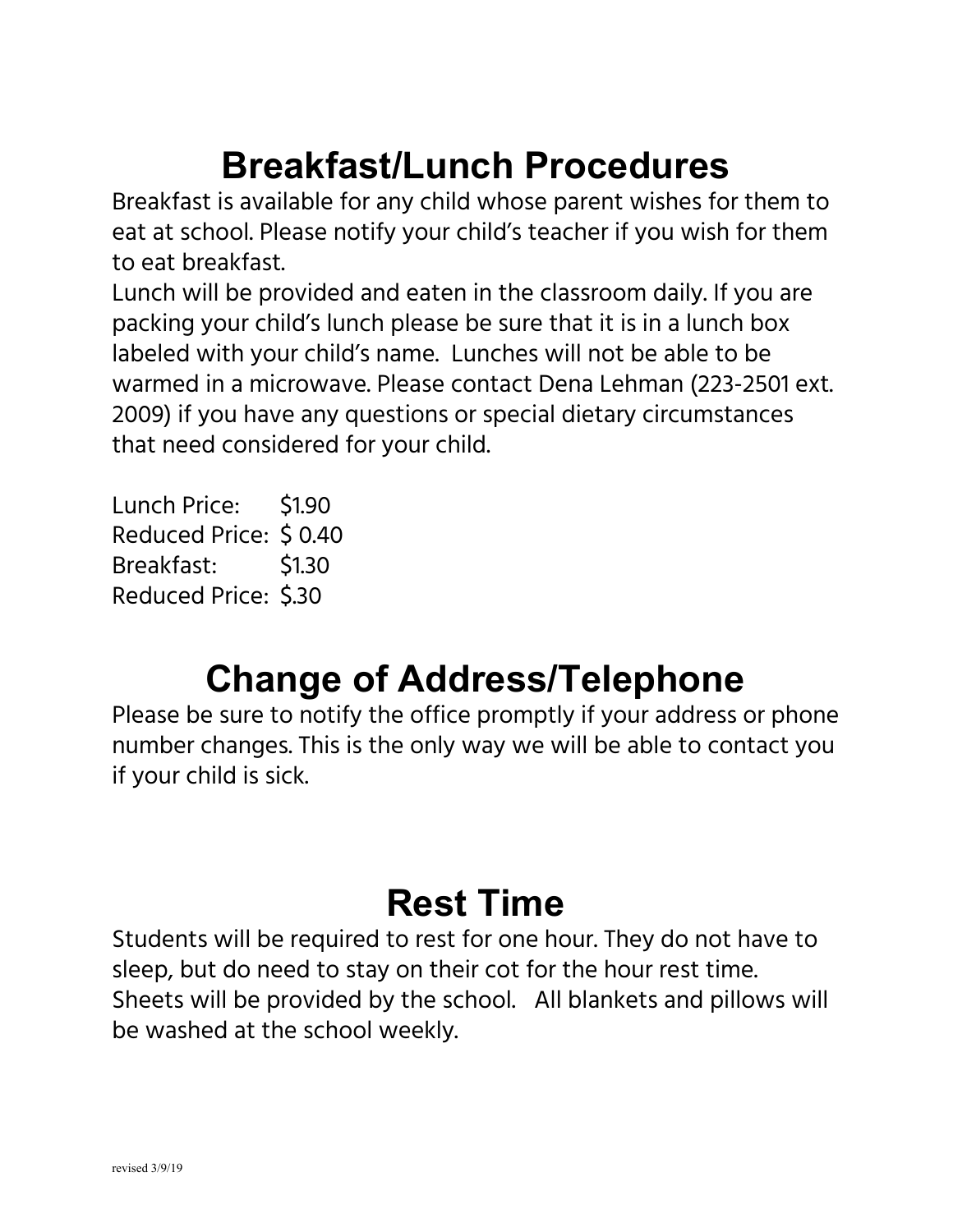# **Breakfast/Lunch Procedures**

Breakfast is available for any child whose parent wishes for them to eat at school. Please notify your child's teacher if you wish for them to eat breakfast.

Lunch will be provided and eaten in the classroom daily. If you are packing your child's lunch please be sure that it is in a lunch box labeled with your child's name. Lunches will not be able to be warmed in a microwave. Please contact Dena Lehman (223-2501 ext. 2009) if you have any questions or special dietary circumstances that need considered for your child.

Lunch Price: \$1.90 Reduced Price: \$ 0.40 Breakfast: \$1.30 Reduced Price: \$.30

## **Change of Address/Telephone**

Please be sure to notify the office promptly if your address or phone number changes. This is the only way we will be able to contact you if your child is sick.

# **Rest Time**

Students will be required to rest for one hour. They do not have to sleep, but do need to stay on their cot for the hour rest time. Sheets will be provided by the school. All blankets and pillows will be washed at the school weekly.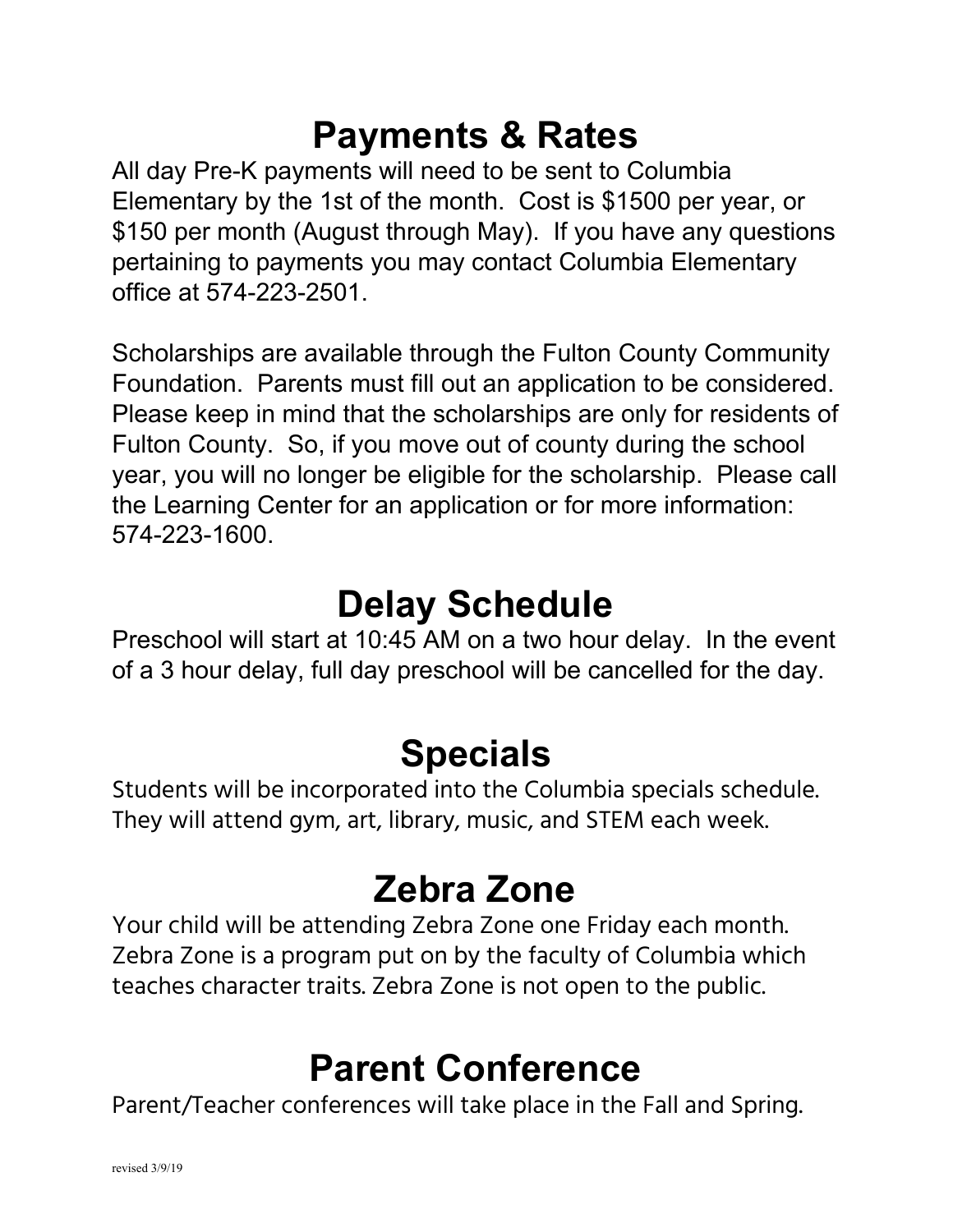## **Payments & Rates**

All day Pre-K payments will need to be sent to Columbia Elementary by the 1st of the month. Cost is \$1500 per year, or \$150 per month (August through May). If you have any questions pertaining to payments you may contact Columbia Elementary office at 574-223-2501.

Scholarships are available through the Fulton County Community Foundation. Parents must fill out an application to be considered. Please keep in mind that the scholarships are only for residents of Fulton County. So, if you move out of county during the school year, you will no longer be eligible for the scholarship. Please call the Learning Center for an application or for more information: 574-223-1600.

#### **Delay Schedule**

Preschool will start at 10:45 AM on a two hour delay. In the event of a 3 hour delay, full day preschool will be cancelled for the day.

## **Specials**

Students will be incorporated into the Columbia specials schedule. They will attend gym, art, library, music, and STEM each week.

## **Zebra Zone**

Your child will be attending Zebra Zone one Friday each month. Zebra Zone is a program put on by the faculty of Columbia which teaches character traits. Zebra Zone is not open to the public.

#### **Parent Conference**

Parent/Teacher conferences will take place in the Fall and Spring.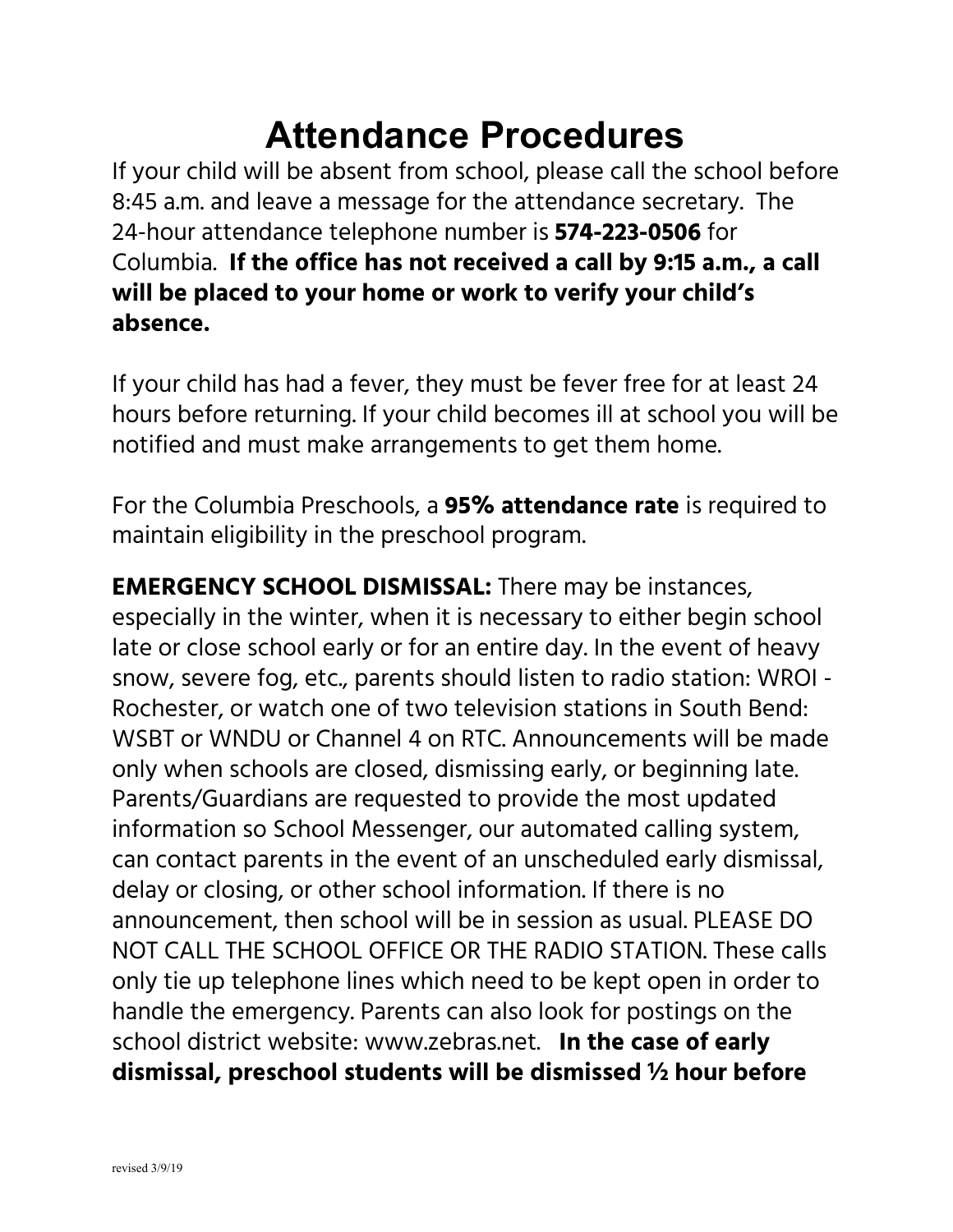## **Attendance Procedures**

If your child will be absent from school, please call the school before 8:45 a.m. and leave a message for the attendance secretary. The 24-hour attendance telephone number is **574-223-0506** for Columbia. **If the office has not received a call by 9:15 a.m., a call will be placed to your home or work to verify your child's absence.**

If your child has had a fever, they must be fever free for at least 24 hours before returning. If your child becomes ill at school you will be notified and must make arrangements to get them home.

For the Columbia Preschools, a **95% attendance rate** is required to maintain eligibility in the preschool program.

**EMERGENCY SCHOOL DISMISSAL:** There may be instances, especially in the winter, when it is necessary to either begin school late or close school early or for an entire day. In the event of heavy snow, severe fog, etc., parents should listen to radio station: WROI - Rochester, or watch one of two television stations in South Bend: WSBT or WNDU or Channel 4 on RTC. Announcements will be made only when schools are closed, dismissing early, or beginning late. Parents/Guardians are requested to provide the most updated information so School Messenger, our automated calling system, can contact parents in the event of an unscheduled early dismissal, delay or closing, or other school information. If there is no announcement, then school will be in session as usual. PLEASE DO NOT CALL THE SCHOOL OFFICE OR THE RADIO STATION. These calls only tie up telephone lines which need to be kept open in order to handle the emergency. Parents can also look for postings on the school district website: www.zebras.net. **In the case of early dismissal, preschool students will be dismissed ½ hour before**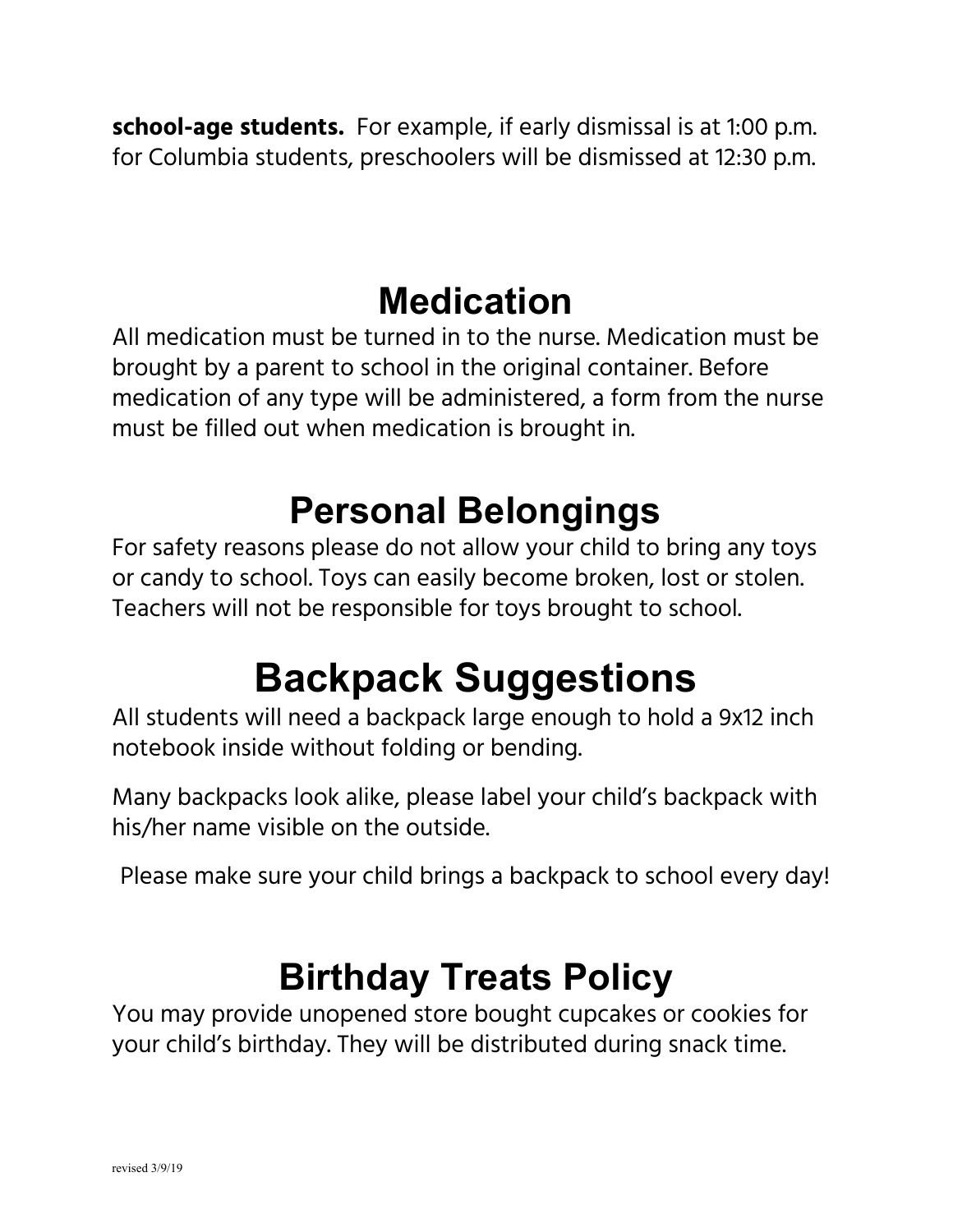**school-age students.** For example, if early dismissal is at 1:00 p.m. for Columbia students, preschoolers will be dismissed at 12:30 p.m.

#### **Medication**

All medication must be turned in to the nurse. Medication must be brought by a parent to school in the original container. Before medication of any type will be administered, a form from the nurse must be filled out when medication is brought in.

## **Personal Belongings**

For safety reasons please do not allow your child to bring any toys or candy to school. Toys can easily become broken, lost or stolen. Teachers will not be responsible for toys brought to school.

# **Backpack Suggestions**

All students will need a backpack large enough to hold a 9x12 inch notebook inside without folding or bending.

Many backpacks look alike, please label your child's backpack with his/her name visible on the outside.

Please make sure your child brings a backpack to school every day!

## **Birthday Treats Policy**

You may provide unopened store bought cupcakes or cookies for your child's birthday. They will be distributed during snack time.